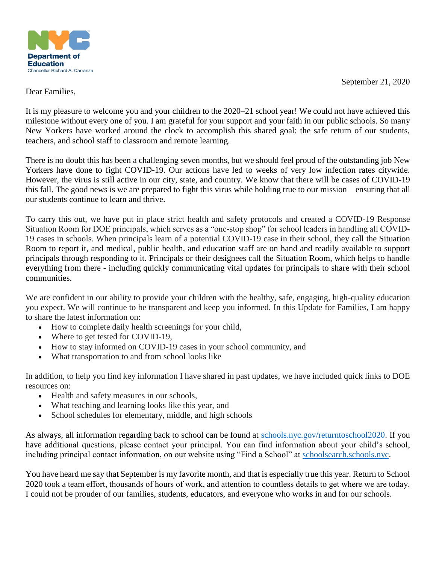

September 21, 2020

Dear Families,

It is my pleasure to welcome you and your children to the 2020–21 school year! We could not have achieved this milestone without every one of you. I am grateful for your support and your faith in our public schools. So many New Yorkers have worked around the clock to accomplish this shared goal: the safe return of our students, teachers, and school staff to classroom and remote learning.

There is no doubt this has been a challenging seven months, but we should feel proud of the outstanding job New Yorkers have done to fight COVID-19. Our actions have led to weeks of very low infection rates citywide. However, the virus is still active in our city, state, and country. We know that there will be cases of COVID-19 this fall. The good news is we are prepared to fight this virus while holding true to our mission—ensuring that all our students continue to learn and thrive.

To carry this out, we have put in place strict health and safety protocols and created a COVID-19 Response Situation Room for DOE principals, which serves as a "one-stop shop" for school leaders in handling all COVID-19 cases in schools. When principals learn of a potential COVID-19 case in their school, they call the Situation Room to report it, and medical, public health, and education staff are on hand and readily available to support principals through responding to it. Principals or their designees call the Situation Room, which helps to handle everything from there - including quickly communicating vital updates for principals to share with their school communities.

We are confident in our ability to provide your children with the healthy, safe, engaging, high-quality education you expect. We will continue to be transparent and keep you informed. In this Update for Families, I am happy to share the latest information on:

- How to complete daily health screenings for your child,
- Where to get tested for COVID-19,
- How to stay informed on COVID-19 cases in your school community, and
- What transportation to and from school looks like

In addition, to help you find key information I have shared in past updates, we have included quick links to DOE resources on:

- Health and safety measures in our schools,
- What teaching and learning looks like this year, and
- School schedules for elementary, middle, and high schools

As always, all information regarding back to school can be found at [schools.nyc.gov/returntoschool2020.](http://schools.nyc.gov/returntoschool2020) If you have additional questions, please contact your principal. You can find information about your child's school, including principal contact information, on our website using "Find a School" at [schoolsearch.schools.nyc.](http://schoolsearch.schools.nyc/)

You have heard me say that September is my favorite month, and that is especially true this year. Return to School 2020 took a team effort, thousands of hours of work, and attention to countless details to get where we are today. I could not be prouder of our families, students, educators, and everyone who works in and for our schools.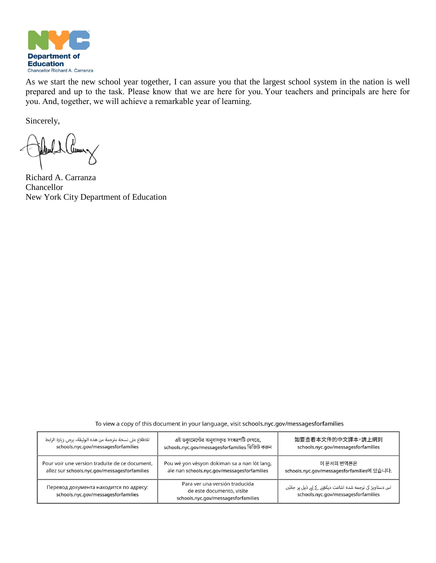

As we start the new school year together, I can assure you that the largest school system in the nation is well prepared and up to the task. Please know that we are here for you. Your teachers and principals are here for you. And, together, we will achieve a remarkable year of learning.

Sincerely,

Mul Cuma

Richard A. Carranza Chancellor New York City Department of Education

To view a copy of this document in your language, visit schools.nyc.gov/messagesforfamilies

| للاطلاع على نسخة مترجمة من هذه الوثيقة، يرجى زيارة الرابط                     | এই ডক্যুমেন্টের অনুবাদকৃত সংস্করণটি দেখতে,                                                         | 如要查看本文件的中文譯本,請上網到                                                                               |
|-------------------------------------------------------------------------------|----------------------------------------------------------------------------------------------------|-------------------------------------------------------------------------------------------------|
| schools.nyc.gov/messagesforfamilies                                           | schools.nyc.gov/messagesforfamilies ভিজিট করুন                                                     | schools.nyc.gov/messagesforfamilies                                                             |
| Pour voir une version traduite de ce document,                                | Pou wè yon vèsyon dokiman sa a nan lòt lang,                                                       | 이 문서의 번역본은                                                                                      |
| allez sur schools.nyc.gov/messagesforfamilies                                 | ale nan schools.nyc.gov/messagesforfamilies                                                        | schools.nyc.gov/messagesforfamilies에 있습니다.                                                      |
| Перевод документа находится по адресу:<br>schools.nyc.gov/messagesforfamilies | Para ver una versión traducida<br>de este documento, visite<br>schools.nyc.gov/messagesforfamilies | اس دستاویز کی ترجمه شده اشاعت دیکھنے کے لیے ذیل پر جائیں<br>schools.nyc.gov/messagesforfamilies |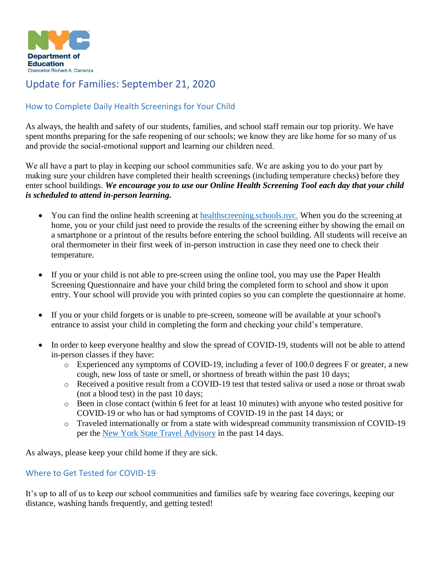

# Update for Families: September 21, 2020

## How to Complete Daily Health Screenings for Your Child

As always, the health and safety of our students, families, and school staff remain our top priority. We have spent months preparing for the safe reopening of our schools; we know they are like home for so many of us and provide the social-emotional support and learning our children need.

We all have a part to play in keeping our school communities safe. We are asking you to do your part by making sure your children have completed their health screenings (including temperature checks) before they enter school buildings. *We encourage you to use our Online Health Screening Tool each day that your child is scheduled to attend in-person learning.*

- You can find the online health screening at [healthscreening.schools.nyc.](https://healthscreening.schools.nyc/) When you do the screening at home, you or your child just need to provide the results of the screening either by showing the email on a smartphone or a printout of the results before entering the school building. All students will receive an oral thermometer in their first week of in-person instruction in case they need one to check their temperature.
- If you or your child is not able to pre-screen using the online tool, you may use the Paper Health Screening Questionnaire and have your child bring the completed form to school and show it upon entry. Your school will provide you with printed copies so you can complete the questionnaire at home.
- If you or your child forgets or is unable to pre-screen, someone will be available at your school's entrance to assist your child in completing the form and checking your child's temperature.
- In order to keep everyone healthy and slow the spread of COVID-19, students will not be able to attend in-person classes if they have:
	- $\circ$  Experienced any symptoms of COVID-19, including a fever of 100.0 degrees F or greater, a new cough, new loss of taste or smell, or shortness of breath within the past 10 days;
	- o Received a positive result from a COVID-19 test that tested saliva or used a nose or throat swab (not a blood test) in the past 10 days;
	- o Been in close contact (within 6 feet for at least 10 minutes) with anyone who tested positive for COVID-19 or who has or had symptoms of COVID-19 in the past 14 days; or
	- o Traveled internationally or from a state with widespread community transmission of COVID-19 per the [New York State Travel Advisory](https://coronavirus.health.ny.gov/covid-19-travel-advisory?gclid=CjwKCAjwydP5BRBREiwA-qrCGuRbWhlFUSrOWCvE7tT1_ks5YzJdvnvGjGZmg4LcQiIiTWK3Fu_HwBoC9R4QAvD_BwE%22%20/) in the past 14 days.

As always, please keep your child home if they are sick.

#### Where to Get Tested for COVID-19

It's up to all of us to keep our school communities and families safe by wearing face coverings, keeping our distance, washing hands frequently, and getting tested!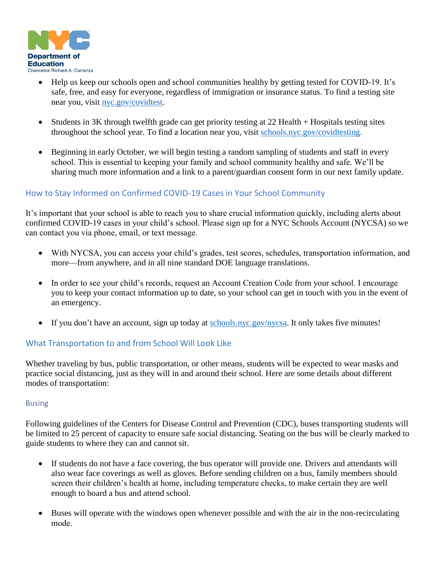

- Help us keep our schools open and school communities healthy by getting tested for COVID-19. It's safe, free, and easy for everyone, regardless of immigration or insurance status. To find a testing site near you, visit [nyc.gov/covidtest.](http://nyc.gov/covidtest)
- Students in 3K through twelfth grade can get priority testing at 22 Health + Hospitals testing sites throughout the school year. To find a location near you, visit [schools.nyc.gov/covidtesting.](http://schools.nyc.gov/covidtesting)
- Beginning in early October, we will begin testing a random sampling of students and staff in every school. This is essential to keeping your family and school community healthy and safe. We'll be sharing much more information and a link to a parent/guardian consent form in our next family update.

## How to Stay Informed on Confirmed COVID-19 Cases in Your School Community

It's important that your school is able to reach you to share crucial information quickly, including alerts about confirmed COVID-19 cases in your child's school. Please sign up for a NYC Schools Account (NYCSA) so we can contact you via phone, email, or text message. 

- With NYCSA, you can access your child's grades, test scores, schedules, transportation information, and more—from anywhere, and in all nine standard DOE language translations.
- In order to see your child's records, request an Account Creation Code from your school. I encourage you to keep your contact information up to date, so your school can get in touch with you in the event of an emergency.
- If you don't have an account, sign up today at [schools.nyc.gov/nycsa.](https://www.schools.nyc.gov/learning/student-journey/nyc-schools-account) It only takes five minutes!

#### What Transportation to and from School Will Look Like

Whether traveling by bus, public transportation, or other means, students will be expected to wear masks and practice social distancing, just as they will in and around their school. Here are some details about different modes of transportation:

#### Busing

Following guidelines of the Centers for Disease Control and Prevention (CDC), buses transporting students will be limited to 25 percent of capacity to ensure safe social distancing. Seating on the bus will be clearly marked to guide students to where they can and cannot sit.

- If students do not have a face covering, the bus operator will provide one. Drivers and attendants will also wear face coverings as well as gloves. Before sending children on a bus, family members should screen their children's health at home, including temperature checks, to make certain they are well enough to board a bus and attend school.
- Buses will operate with the windows open whenever possible and with the air in the non-recirculating mode.